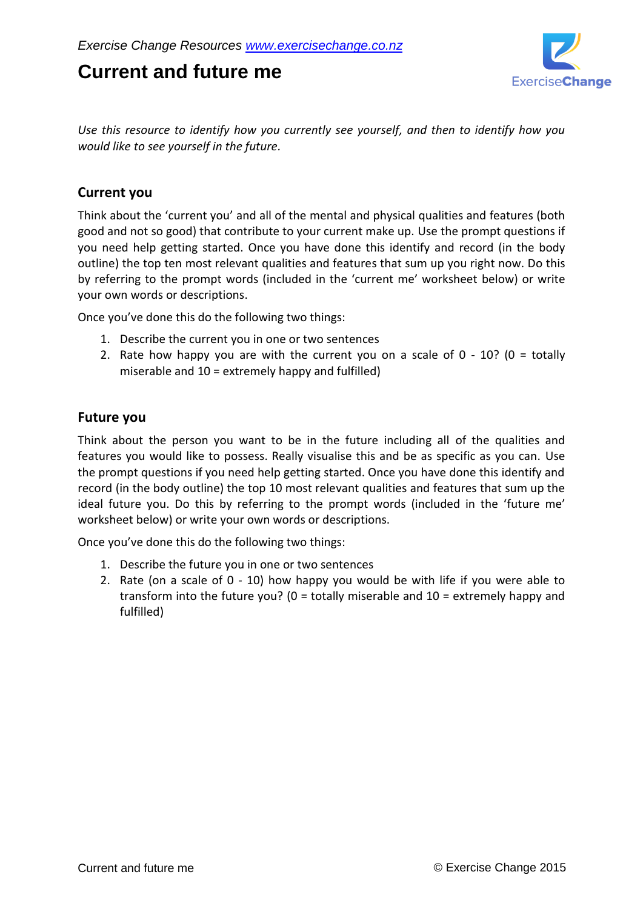# **Current and future me**



*Use this resource to identify how you currently see yourself, and then to identify how you would like to see yourself in the future.*

## **Current you**

Think about the 'current you' and all of the mental and physical qualities and features (both good and not so good) that contribute to your current make up. Use the prompt questions if you need help getting started. Once you have done this identify and record (in the body outline) the top ten most relevant qualities and features that sum up you right now. Do this by referring to the prompt words (included in the 'current me' worksheet below) or write your own words or descriptions.

Once you've done this do the following two things:

- 1. Describe the current you in one or two sentences
- 2. Rate how happy you are with the current you on a scale of  $0 10$ ? (0 = totally miserable and  $10 =$  extremely happy and fulfilled)

### **Future you**

Think about the person you want to be in the future including all of the qualities and features you would like to possess. Really visualise this and be as specific as you can. Use the prompt questions if you need help getting started. Once you have done this identify and record (in the body outline) the top 10 most relevant qualities and features that sum up the ideal future you. Do this by referring to the prompt words (included in the 'future me' worksheet below) or write your own words or descriptions.

Once you've done this do the following two things:

- 1. Describe the future you in one or two sentences
- 2. Rate (on a scale of 0 10) how happy you would be with life if you were able to transform into the future you? ( $0 =$  totally miserable and  $10 =$  extremely happy and fulfilled)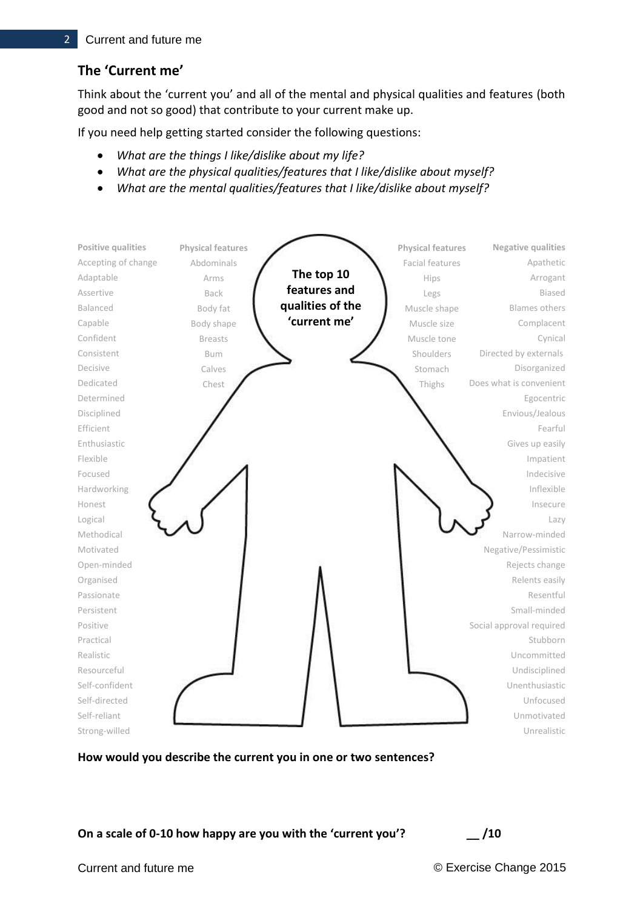# **The 'Current me'**

Think about the 'current you' and all of the mental and physical qualities and features (both good and not so good) that contribute to your current make up.

If you need help getting started consider the following questions:

- *What are the things I like/dislike about my life?*
- *What are the physical qualities/features that I like/dislike about myself?*
- *What are the mental qualities/features that I like/dislike about myself?*



**How would you describe the current you in one or two sentences?**

**On a scale of 0-10 how happy are you with the 'current you'? \_\_ /10**